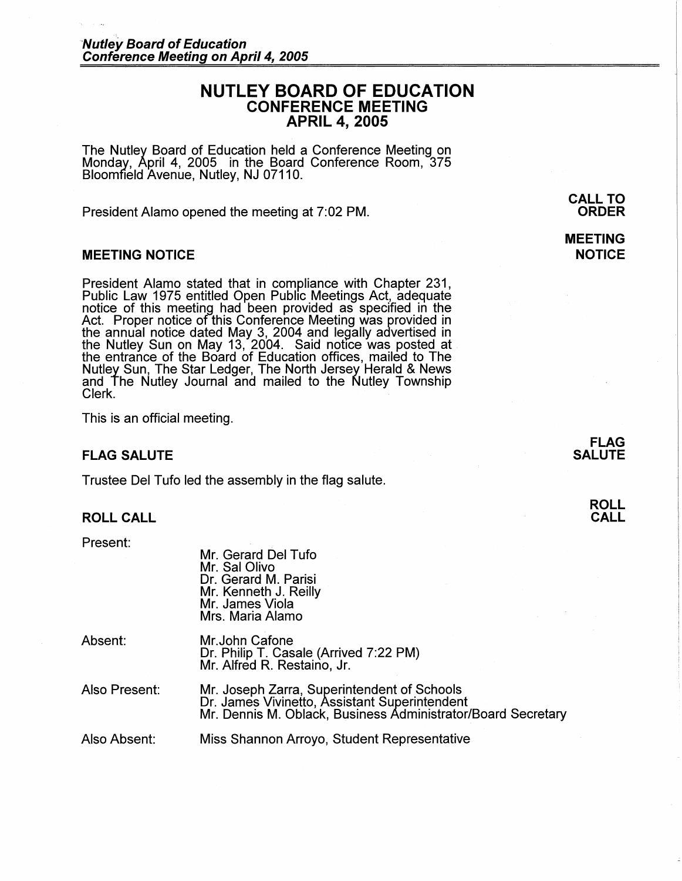# **NUTLEY BOARD OF EDUCATION CONFERENCE MEETING APRIL 4, 2005**

The Nutley Board of Education held a Conference Meeting on Monday, April 4, 2005 in the Board Conference Room, 375 Bloomfield Avenue, Nutley, NJ 07110.

President Alamo opened the meeting at 7:02 PM.

#### **MEETING NOTICE**

President Alamo stated that in compliance with Chapter 231, Public Law 1975 entitled Open Public Meetings Act, adequate notice of this meeting had been provided as specified in the Act. Proper notice of this Conference Meeting was provided in the annual notice dated May 3, 2004 and legally advertised in the Nutley Sun on May 13, 2004. Said notice was posted at the entrance of the Board of Education offices, mailed to The Nutley Sun, The Star Ledger, The North Jersey Herald & News and The Nutley Journal and mailed to the Nutley Township Clerk.

This is an official meeting.

### **FLAG SALUTE**

Trustee Del Tufo led the assembly in the flag salute.

Mr. Gerard Del Tufo

### **ROLL CALL**

Present:

|               | Mr. Sal Olivo<br>Dr. Gerard M. Parisi<br>Mr. Kenneth J. Reilly<br>Mr. James Viola<br>Mrs. Maria Alamo                                                        |
|---------------|--------------------------------------------------------------------------------------------------------------------------------------------------------------|
| Absent:       | Mr.John Cafone<br>Dr. Philip T. Casale (Arrived 7:22 PM)<br>Mr. Alfred R. Restaino, Jr.                                                                      |
| Also Present: | Mr. Joseph Zarra, Superintendent of Schools<br>Dr. James Vivinetto, Assistant Superintendent<br>Mr. Dennis M. Oblack, Business Administrator/Board Secretary |
| Also Absent:  | Miss Shannon Arroyo, Student Representative                                                                                                                  |

**CALL TO ORDER** 

**MEETING NOTICE** 

> **FLAG SALUTE**

> > **ROLL CALL**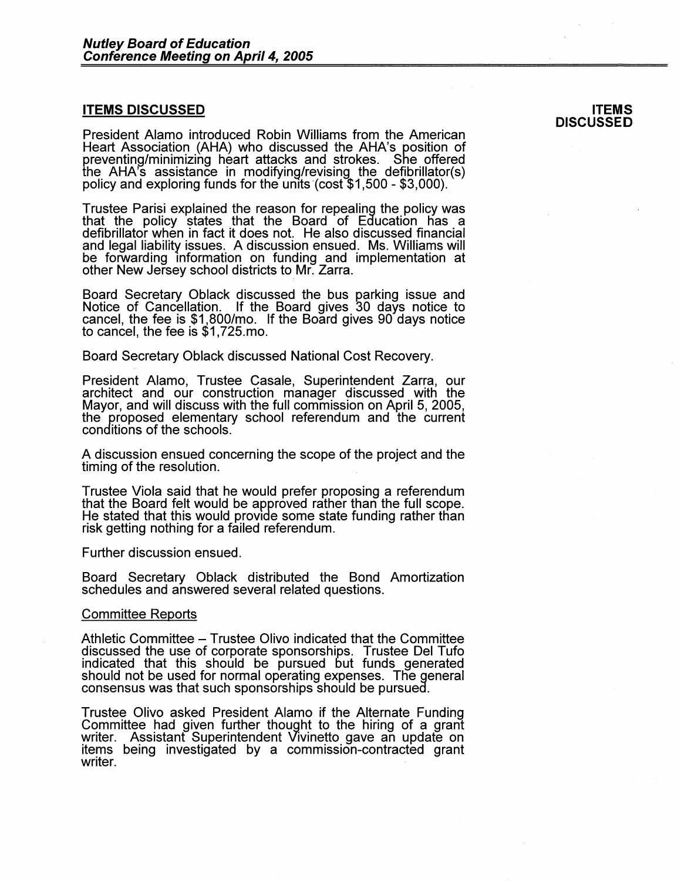#### **ITEMS DISCUSSED**

President Alamo introduced Robin Williams from the American Heart Association (AHA) who discussed the AHA's position of preventing/minimizing heart attacks and strokes. She offered the AHA's assistance in modifying/revising the defibrillator(s) policy and exploring funds for the units (cost \$1,500 - \$3,000).

**ITEMS DISCUSSED** 

Trustee Parisi explained the reason for repealing the policy was that the policy states that the Board of Education has a defibrillator when in fact it does not. He also discussed financial and legal liability issues. A discussion ensued. Ms. Williams will be forwarding information on funding and implementation at other New Jersey school districts to\_Mr. Zarra.

Board Secretary Oblack discussed the bus parking issue and Notice of Cancellation. If the Board gives 30 days notice to cancel, the fee is \$1,800/mo. If the Board gives 90 days notice to cancel, the fee is \$1,725.mo.

Board Secretary Oblack discussed National Cost Recovery.

President Alamo, Trustee Casale, Superintendent Zarra, our architect and our construction manager discussed with the Mayor, and will discuss with the full commission on April 5, 2005, the proposed elementary school referendum and the current conditions of the schools.

A discussion ensued concerning the scope of the project and the timing of the resolution.

Trustee Viola said that he would prefer proposing a referendum that the Board felt would be approved rather than the full scope.<br>He stated that this would provide some state funding rather than risk getting nothing for a failed referendum.

Further discussion ensued.

Board Secretary Oblack distributed the Bond Amortization schedules and answered several related questions.

#### Committee Reports

Athletic Committee - Trustee Olivo indicated that the Committee discussed the use of corporate sponsorships. Trustee Del Tufo indicated that this should be pursued but funds generated should not be used for normal operating expenses. The general consensus was that such sponsorships should be pursued.

Trustee Olivo asked President Alamo if the Alternate Funding Committee had given further thought to the hiring of a grant writer. Assistant Superintendent Vivinetto gave an update on items being investigated by a commission-contracted grant writer.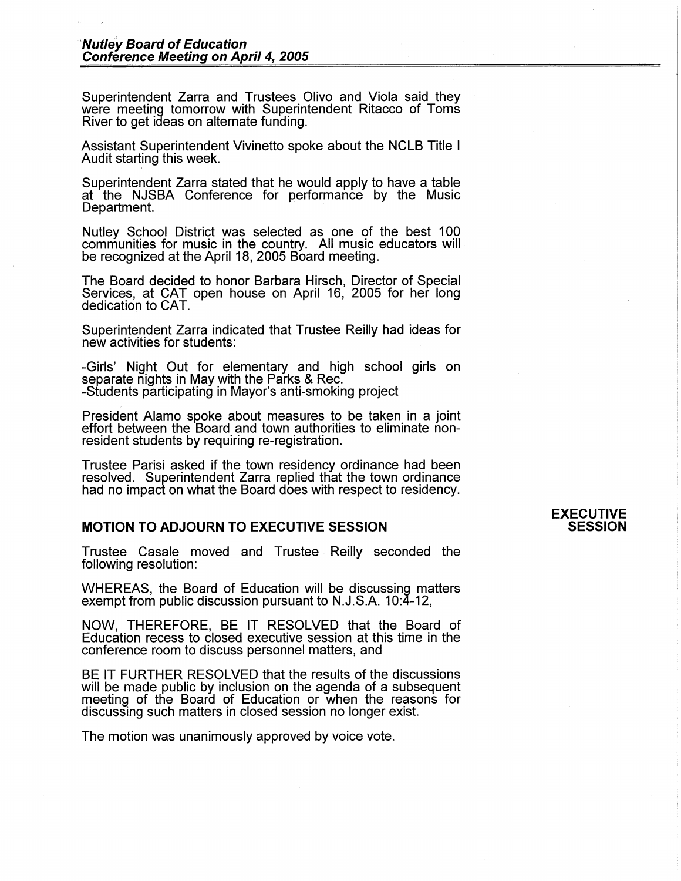Superintendent Zarra and Trustees Olivo and Viola said they were meeting tomorrow with Superintendent Ritacco of Toms River to get ideas on alternate funding.

Assistant Superintendent Vivinetto spoke about the NCLB Title I Audit starting this week.

Superintendent Zarra stated that he would apply to have a table at the NJSBA Conference for performance by the Music Department.

Nutley School District was selected as one of the best 100 communities for music in the country. All music educators will be recognized at the April 18, 2005 Board meeting.

The Board decided to honor Barbara Hirsch, Director of Special Services, at CAT open house on April 16, 2005 for her long dedication to CAT.

Superintendent Zarra indicated that Trustee Reilly had ideas for new activities for students:

-Girls' Night Out for elementary and high school girls on separate nights in May with the Parks & Rec. -Students participating in Mayor's anti-smoking project

President Alamo spoke about measures to be taken in a joint effort between the Board and town authorities to eliminate nonresident students by requiring re-registration.

Trustee Parisi asked if the town residency ordinance had been resolved. Superintendent Zarra replied that the town ordinance had no impact on what the Board does with respect to residency.

#### **MOTION TO ADJOURN TO EXECUTIVE SESSION**

Trustee Casale moved and Trustee Reilly seconded the following resolution:

WHEREAS, the Board of Education will be discussing matters exempt from public discussion pursuant to N.J.S.A. 10:4-12,

**NOW,** THEREFORE, BE IT RESOLVED that the Board of Education recess to closed executive session at this time in the conference room to discuss personnel matters, and

BE IT FURTHER RESOLVED that the results of the discussions will be made public by inclusion on the agenda of a subsequent meeting of the Board of Education or when the reasons for discussing such matters in closed session no longer exist.

The motion was unanimously approved by voice vote.

#### **EXECUTIVE SESSION**